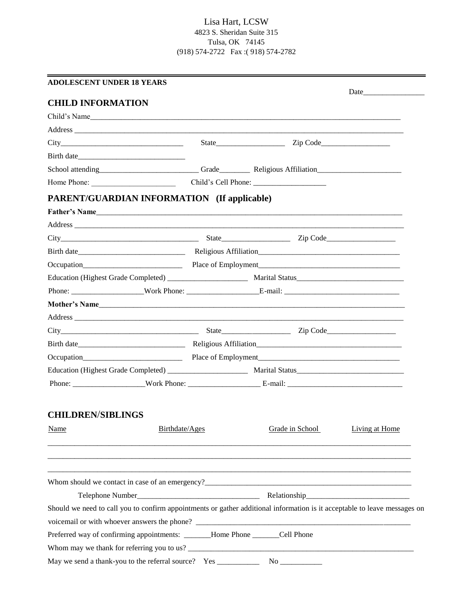# Lisa Hart, LCSW 4823 S. Sheridan Suite 315 Tulsa, OK 74145 (918) 574-2722 Fax :( 918) 574-2782

| <b>ADOLESCENT UNDER 18 YEARS</b>                                                                                          |  |                 |                |  |  |
|---------------------------------------------------------------------------------------------------------------------------|--|-----------------|----------------|--|--|
| <b>CHILD INFORMATION</b>                                                                                                  |  |                 | Date           |  |  |
| Child's Name                                                                                                              |  |                 |                |  |  |
|                                                                                                                           |  |                 |                |  |  |
|                                                                                                                           |  |                 |                |  |  |
|                                                                                                                           |  |                 |                |  |  |
|                                                                                                                           |  |                 |                |  |  |
| Home Phone:                                                                                                               |  |                 |                |  |  |
| <b>PARENT/GUARDIAN INFORMATION</b> (If applicable)                                                                        |  |                 |                |  |  |
| Father's Name                                                                                                             |  |                 |                |  |  |
|                                                                                                                           |  |                 |                |  |  |
| $City$ $City$ $Zip Code$ $Line$ $Zip Code$ $Zip Code$                                                                     |  |                 |                |  |  |
|                                                                                                                           |  |                 |                |  |  |
| Occupation Place of Employment Place of Employment                                                                        |  |                 |                |  |  |
|                                                                                                                           |  |                 |                |  |  |
|                                                                                                                           |  |                 |                |  |  |
|                                                                                                                           |  |                 |                |  |  |
|                                                                                                                           |  |                 |                |  |  |
| $City$ $Zip Code$ $Zip Code$ $Zip Code$ $Zip Code$                                                                        |  |                 |                |  |  |
|                                                                                                                           |  |                 |                |  |  |
|                                                                                                                           |  |                 |                |  |  |
|                                                                                                                           |  |                 |                |  |  |
|                                                                                                                           |  |                 |                |  |  |
|                                                                                                                           |  |                 |                |  |  |
| <b>CHILDREN/SIBLINGS</b>                                                                                                  |  |                 |                |  |  |
| Birthdate/Ages<br><b>Name</b>                                                                                             |  | Grade in School | Living at Home |  |  |
|                                                                                                                           |  |                 |                |  |  |
|                                                                                                                           |  |                 |                |  |  |
|                                                                                                                           |  |                 |                |  |  |
| Whom should we contact in case of an emergency?<br><u> Whom should we contact in case of an emergency?</u>                |  |                 |                |  |  |
|                                                                                                                           |  |                 |                |  |  |
| Should we need to call you to confirm appointments or gather additional information is it acceptable to leave messages on |  |                 |                |  |  |
|                                                                                                                           |  |                 |                |  |  |
| Preferred way of confirming appointments: ______Home Phone ______Cell Phone                                               |  |                 |                |  |  |
|                                                                                                                           |  |                 |                |  |  |
| May we send a thank-you to the referral source? Yes ___________                                                           |  |                 |                |  |  |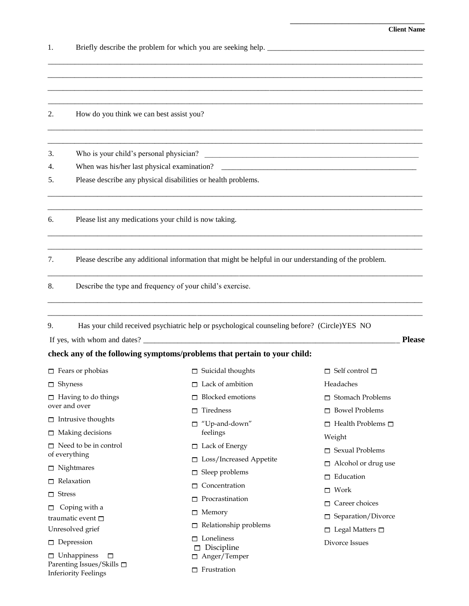**\_\_\_\_\_\_\_\_\_\_\_\_\_\_\_\_\_\_\_\_\_\_\_\_\_\_\_\_\_\_\_\_\_\_\_\_\_\_\_** 

| 1.            |                                                               |                                                                                                                                                                                                         |                               |  |  |  |
|---------------|---------------------------------------------------------------|---------------------------------------------------------------------------------------------------------------------------------------------------------------------------------------------------------|-------------------------------|--|--|--|
|               |                                                               |                                                                                                                                                                                                         |                               |  |  |  |
| 2.            | How do you think we can best assist you?                      |                                                                                                                                                                                                         |                               |  |  |  |
| 3.            | Who is your child's personal physician?                       |                                                                                                                                                                                                         |                               |  |  |  |
| 4.<br>5.      | Please describe any physical disabilities or health problems. |                                                                                                                                                                                                         |                               |  |  |  |
| 6.            | Please list any medications your child is now taking.         |                                                                                                                                                                                                         |                               |  |  |  |
| 7.            |                                                               | Please describe any additional information that might be helpful in our understanding of the problem.                                                                                                   |                               |  |  |  |
| 8.            |                                                               | Describe the type and frequency of your child's exercise.                                                                                                                                               |                               |  |  |  |
| 9.            |                                                               | Has your child received psychiatric help or psychological counseling before? (Circle)YES NO<br>If yes, with whom and dates?<br>check any of the following symptoms/problems that pertain to your child: | <b>Please</b>                 |  |  |  |
|               | $\Box$ Fears or phobias                                       | $\Box$ Suicidal thoughts                                                                                                                                                                                | $\Box$ Self control $\Box$    |  |  |  |
|               | $\Box$ Shyness                                                | $\Box$ Lack of ambition                                                                                                                                                                                 | Headaches                     |  |  |  |
|               | $\Box$ Having to do things                                    | <b>Blocked</b> emotions<br>п                                                                                                                                                                            | $\Box$ Stomach Problems       |  |  |  |
|               | over and over                                                 | Tiredness<br>п                                                                                                                                                                                          | <b>Bowel Problems</b><br>П.   |  |  |  |
|               | $\Box$ Intrusive thoughts                                     | "Up-and-down"<br>□                                                                                                                                                                                      | $\Box$ Health Problems $\Box$ |  |  |  |
|               | $\Box$ Making decisions                                       | feelings                                                                                                                                                                                                | Weight                        |  |  |  |
|               | $\Box$ Need to be in control                                  | $\Box$ Lack of Energy                                                                                                                                                                                   | $\Box$ Sexual Problems        |  |  |  |
| of everything | $\Box$ Loss/Increased Appetite                                | $\Box$ Alcohol or drug use                                                                                                                                                                              |                               |  |  |  |
|               | $\Box$ Nightmares                                             | Sleep problems<br>□                                                                                                                                                                                     | $\Box$ Education              |  |  |  |
|               | $\Box$ Relaxation                                             | Concentration                                                                                                                                                                                           |                               |  |  |  |
| $\Box$ Stress |                                                               | $\Box$ Procrastination                                                                                                                                                                                  | $\Box$ Work                   |  |  |  |
| □             | Coping with a                                                 | $\Box$ Memory                                                                                                                                                                                           | Career choices<br>п           |  |  |  |
|               | traumatic event $\square$                                     | Relationship problems                                                                                                                                                                                   | Separation/Divorce<br>□       |  |  |  |
|               | Unresolved grief                                              | Loneliness<br>п.                                                                                                                                                                                        | $\Box$ Legal Matters $\Box$   |  |  |  |
|               | $\Box$ Depression                                             | $\Box$ Discipline                                                                                                                                                                                       | Divorce Issues                |  |  |  |
|               | $\Box$ Unhappiness<br>□<br>Parenting Issues/Skills □          | $\Box$ Anger/Temper                                                                                                                                                                                     |                               |  |  |  |
|               | <b>Inferiority Feelings</b>                                   | $\Box$ Frustration                                                                                                                                                                                      |                               |  |  |  |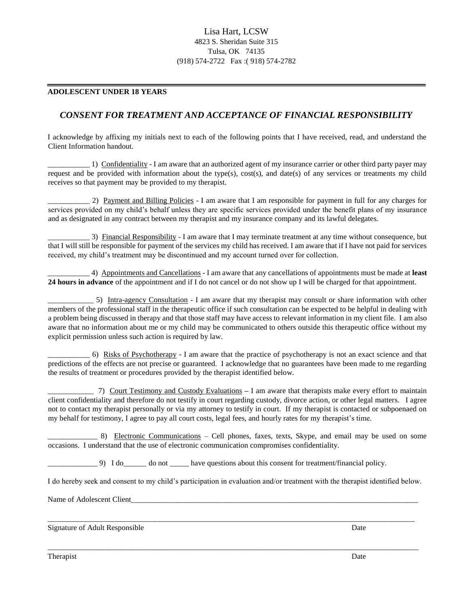# Lisa Hart, LCSW 4823 S. Sheridan Suite 315 Tulsa, OK 74135 (918) 574-2722 Fax :( 918) 574-2782

#### **ADOLESCENT UNDER 18 YEARS**

## *CONSENT FOR TREATMENT AND ACCEPTANCE OF FINANCIAL RESPONSIBILITY*

I acknowledge by affixing my initials next to each of the following points that I have received, read, and understand the Client Information handout.

\_\_\_\_\_\_\_\_\_\_\_ 1) Confidentiality - I am aware that an authorized agent of my insurance carrier or other third party payer may request and be provided with information about the type(s), cost(s), and date(s) of any services or treatments my child receives so that payment may be provided to my therapist.

2) Payment and Billing Policies - I am aware that I am responsible for payment in full for any charges for services provided on my child's behalf unless they are specific services provided under the benefit plans of my insurance and as designated in any contract between my therapist and my insurance company and its lawful delegates.

\_\_\_\_\_\_\_\_\_\_\_ 3) Financial Responsibility - I am aware that I may terminate treatment at any time without consequence, but that I will still be responsible for payment of the services my child has received. I am aware that if I have not paid for services received, my child's treatment may be discontinued and my account turned over for collection.

\_\_\_\_\_\_\_\_\_\_\_ 4) Appointments and Cancellations - I am aware that any cancellations of appointments must be made at **least 24 hours in advance** of the appointment and if I do not cancel or do not show up I will be charged for that appointment.

\_\_\_\_\_\_\_\_\_\_\_\_ 5) Intra-agency Consultation - I am aware that my therapist may consult or share information with other members of the professional staff in the therapeutic office if such consultation can be expected to be helpful in dealing with a problem being discussed in therapy and that those staff may have access to relevant information in my client file. I am also aware that no information about me or my child may be communicated to others outside this therapeutic office without my explicit permission unless such action is required by law.

\_\_\_\_\_\_\_\_\_\_\_ 6) Risks of Psychotherapy - I am aware that the practice of psychotherapy is not an exact science and that predictions of the effects are not precise or guaranteed. I acknowledge that no guarantees have been made to me regarding the results of treatment or procedures provided by the therapist identified below.

\_\_\_\_\_\_\_\_\_\_\_\_ 7) Court Testimony and Custody Evaluations **–** I am aware that therapists make every effort to maintain client confidentiality and therefore do not testify in court regarding custody, divorce action, or other legal matters. I agree not to contact my therapist personally or via my attorney to testify in court. If my therapist is contacted or subpoenaed on my behalf for testimony, I agree to pay all court costs, legal fees, and hourly rates for my therapist's time.

\_\_\_\_\_\_\_\_\_\_\_\_\_ 8) Electronic Communications – Cell phones, faxes, texts, Skype, and email may be used on some occasions. I understand that the use of electronic communication compromises confidentiality.

\_\_\_\_\_\_\_\_\_\_\_\_\_ 9) I do\_\_\_\_\_\_ do not \_\_\_\_\_ have questions about this consent for treatment/financial policy.

I do hereby seek and consent to my child's participation in evaluation and/or treatment with the therapist identified below.

 $\overline{a_1}$  ,  $\overline{a_2}$  ,  $\overline{a_3}$  ,  $\overline{a_4}$  ,  $\overline{a_5}$  ,  $\overline{a_6}$  ,  $\overline{a_7}$  ,  $\overline{a_8}$  ,  $\overline{a_9}$  ,  $\overline{a_9}$  ,  $\overline{a_9}$  ,  $\overline{a_9}$  ,  $\overline{a_9}$  ,  $\overline{a_9}$  ,  $\overline{a_9}$  ,  $\overline{a_9}$  ,  $\overline{a_9}$  ,

 $\overline{a_1}$  ,  $\overline{a_2}$  ,  $\overline{a_3}$  ,  $\overline{a_4}$  ,  $\overline{a_5}$  ,  $\overline{a_6}$  ,  $\overline{a_7}$  ,  $\overline{a_8}$  ,  $\overline{a_9}$  ,  $\overline{a_9}$  ,  $\overline{a_9}$  ,  $\overline{a_9}$  ,  $\overline{a_9}$  ,  $\overline{a_9}$  ,  $\overline{a_9}$  ,  $\overline{a_9}$  ,  $\overline{a_9}$  ,

Name of Adolescent Client\_\_\_\_\_\_\_\_\_\_\_\_\_\_\_\_\_\_\_\_\_\_\_\_\_\_\_\_\_\_\_\_\_\_\_\_\_\_\_\_\_\_\_\_\_\_\_\_\_\_\_\_\_\_\_\_\_\_\_\_\_\_\_\_\_\_\_\_\_\_\_\_\_\_\_

Signature of Adult Responsible Date

**Therapist** Date **Date** Date **Date Date Date**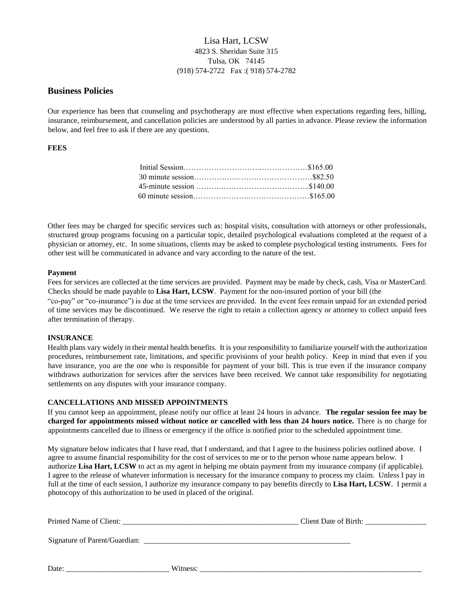# Lisa Hart, LCSW 4823 S. Sheridan Suite 315 Tulsa, OK 74145 (918) 574-2722 Fax :( 918) 574-2782

## **Business Policies**

Our experience has been that counseling and psychotherapy are most effective when expectations regarding fees, billing, insurance, reimbursement, and cancellation policies are understood by all parties in advance. Please review the information below, and feel free to ask if there are any questions.

## **FEES**

Other fees may be charged for specific services such as: hospital visits, consultation with attorneys or other professionals, structured group programs focusing on a particular topic, detailed psychological evaluations completed at the request of a physician or attorney, etc. In some situations, clients may be asked to complete psychological testing instruments. Fees for other test will be communicated in advance and vary according to the nature of the test.

## **Payment**

Fees for services are collected at the time services are provided. Payment may be made by check, cash, Visa or MasterCard. Checks should be made payable to **Lisa Hart, LCSW**. Payment for the non-insured portion of your bill (the "co-pay" or "co-insurance") is due at the time services are provided. In the event fees remain unpaid for an extended period of time services may be discontinued. We reserve the right to retain a collection agency or attorney to collect unpaid fees after termination of therapy.

## **INSURANCE**

Health plans vary widely in their mental health benefits. It is your responsibility to familiarize yourself with the authorization procedures, reimbursement rate, limitations, and specific provisions of your health policy. Keep in mind that even if you have insurance, you are the one who is responsible for payment of your bill. This is true even if the insurance company withdraws authorization for services after the services have been received. We cannot take responsibility for negotiating settlements on any disputes with your insurance company.

#### **CANCELLATIONS AND MISSED APPOINTMENTS**

If you cannot keep an appointment, please notify our office at least 24 hours in advance. **The regular session fee may be charged for appointments missed without notice or cancelled with less than 24 hours notice.** There is no charge for appointments cancelled due to illness or emergency if the office is notified prior to the scheduled appointment time.

My signature below indicates that I have read, that I understand, and that I agree to the business policies outlined above. I agree to assume financial responsibility for the cost of services to me or to the person whose name appears below. I authorize **Lisa Hart, LCSW** to act as my agent in helping me obtain payment from my insurance company (if applicable). I agree to the release of whatever information is necessary for the insurance company to process my claim. Unless I pay in full at the time of each session, I authorize my insurance company to pay benefits directly to **Lisa Hart, LCSW**. I permit a photocopy of this authorization to be used in placed of the original.

| Printed Name of Client: |          |  |
|-------------------------|----------|--|
|                         |          |  |
| Date:                   | Witness: |  |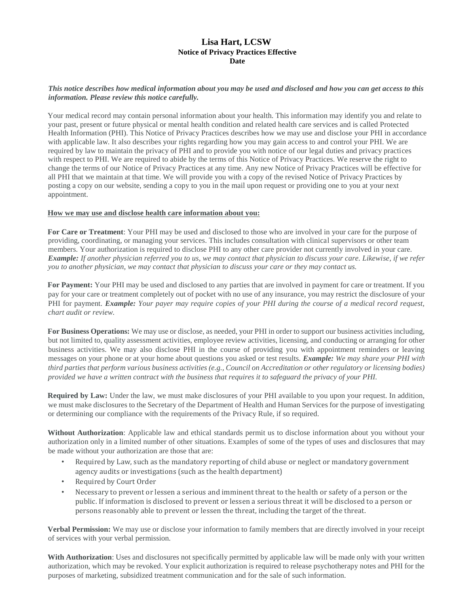## **Lisa Hart, LCSW Notice of Privacy Practices Effective Date**

## *This notice describes how medical information about you may be used and disclosed and how you can get access to this information. Please review this notice carefully.*

Your medical record may contain personal information about your health. This information may identify you and relate to your past, present or future physical or mental health condition and related health care services and is called Protected Health Information (PHI). This Notice of Privacy Practices describes how we may use and disclose your PHI in accordance with applicable law. It also describes your rights regarding how you may gain access to and control your PHI. We are required by law to maintain the privacy of PHI and to provide you with notice of our legal duties and privacy practices with respect to PHI. We are required to abide by the terms of this Notice of Privacy Practices. We reserve the right to change the terms of our Notice of Privacy Practices at any time. Any new Notice of Privacy Practices will be effective for all PHI that we maintain at that time. We will provide you with a copy of the revised Notice of Privacy Practices by posting a copy on our website, sending a copy to you in the mail upon request or providing one to you at your next appointment.

## **How we may use and disclose health care information about you:**

**For Care or Treatment**: Your PHI may be used and disclosed to those who are involved in your care for the purpose of providing, coordinating, or managing your services. This includes consultation with clinical supervisors or other team members. Your authorization is required to disclose PHI to any other care provider not currently involved in your care. *Example: If another physician referred you to us, we may contact that physician to discuss your care. Likewise, if we refer you to another physician, we may contact that physician to discuss your care or they may contact us.* 

**For Payment:** Your PHI may be used and disclosed to any parties that are involved in payment for care or treatment. If you pay for your care or treatment completely out of pocket with no use of any insurance, you may restrict the disclosure of your PHI for payment. *Example: Your payer may require copies of your PHI during the course of a medical record request, chart audit or review.* 

**For Business Operations:** We may use or disclose, as needed, your PHI in order to support our business activities including, but not limited to, quality assessment activities, employee review activities, licensing, and conducting or arranging for other business activities. We may also disclose PHI in the course of providing you with appointment reminders or leaving messages on your phone or at your home about questions you asked or test results. *Example: We may share your PHI with third parties that perform various business activities (e.g., Council on Accreditation or other regulatory or licensing bodies) provided we have a written contract with the business that requires it to safeguard the privacy of your PHI.* 

**Required by Law:** Under the law, we must make disclosures of your PHI available to you upon your request. In addition, we must make disclosures to the Secretary of the Department of Health and Human Services for the purpose of investigating or determining our compliance with the requirements of the Privacy Rule, if so required.

**Without Authorization**: Applicable law and ethical standards permit us to disclose information about you without your authorization only in a limited number of other situations. Examples of some of the types of uses and disclosures that may be made without your authorization are those that are:

- Required by Law, such as the mandatory reporting of child abuse or neglect or mandatory government agency audits or investigations (such as the health department)
- Required by Court Order
- Necessary to prevent or lessen a serious and imminent threat to the health or safety of a person or the public. If information is disclosed to prevent or lessen a serious threat it will be disclosed to a person or persons reasonably able to prevent or lessen the threat, including the target of the threat.

**Verbal Permission:** We may use or disclose your information to family members that are directly involved in your receipt of services with your verbal permission.

**With Authorization**: Uses and disclosures not specifically permitted by applicable law will be made only with your written authorization, which may be revoked. Your explicit authorization is required to release psychotherapy notes and PHI for the purposes of marketing, subsidized treatment communication and for the sale of such information.